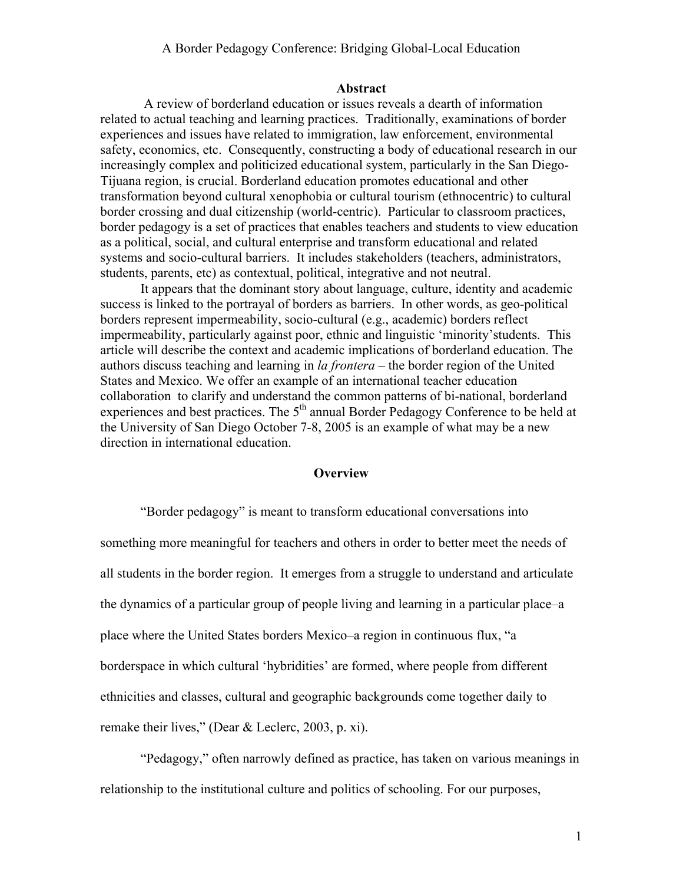#### **Abstract**

 A review of borderland education or issues reveals a dearth of information related to actual teaching and learning practices. Traditionally, examinations of border experiences and issues have related to immigration, law enforcement, environmental safety, economics, etc. Consequently, constructing a body of educational research in our increasingly complex and politicized educational system, particularly in the San Diego-Tijuana region, is crucial. Borderland education promotes educational and other transformation beyond cultural xenophobia or cultural tourism (ethnocentric) to cultural border crossing and dual citizenship (world-centric). Particular to classroom practices, border pedagogy is a set of practices that enables teachers and students to view education as a political, social, and cultural enterprise and transform educational and related systems and socio-cultural barriers. It includes stakeholders (teachers, administrators, students, parents, etc) as contextual, political, integrative and not neutral.

It appears that the dominant story about language, culture, identity and academic success is linked to the portrayal of borders as barriers. In other words, as geo-political borders represent impermeability, socio-cultural (e.g., academic) borders reflect impermeability, particularly against poor, ethnic and linguistic 'minority'students. This article will describe the context and academic implications of borderland education. The authors discuss teaching and learning in *la frontera* – the border region of the United States and Mexico. We offer an example of an international teacher education collaboration to clarify and understand the common patterns of bi-national, borderland experiences and best practices. The 5<sup>th</sup> annual Border Pedagogy Conference to be held at the University of San Diego October 7-8, 2005 is an example of what may be a new direction in international education.

## **Overview**

"Border pedagogy" is meant to transform educational conversations into something more meaningful for teachers and others in order to better meet the needs of all students in the border region. It emerges from a struggle to understand and articulate the dynamics of a particular group of people living and learning in a particular place–a place where the United States borders Mexico–a region in continuous flux, "a borderspace in which cultural 'hybridities' are formed, where people from different ethnicities and classes, cultural and geographic backgrounds come together daily to remake their lives," (Dear & Leclerc, 2003, p. xi).

"Pedagogy," often narrowly defined as practice, has taken on various meanings in relationship to the institutional culture and politics of schooling. For our purposes,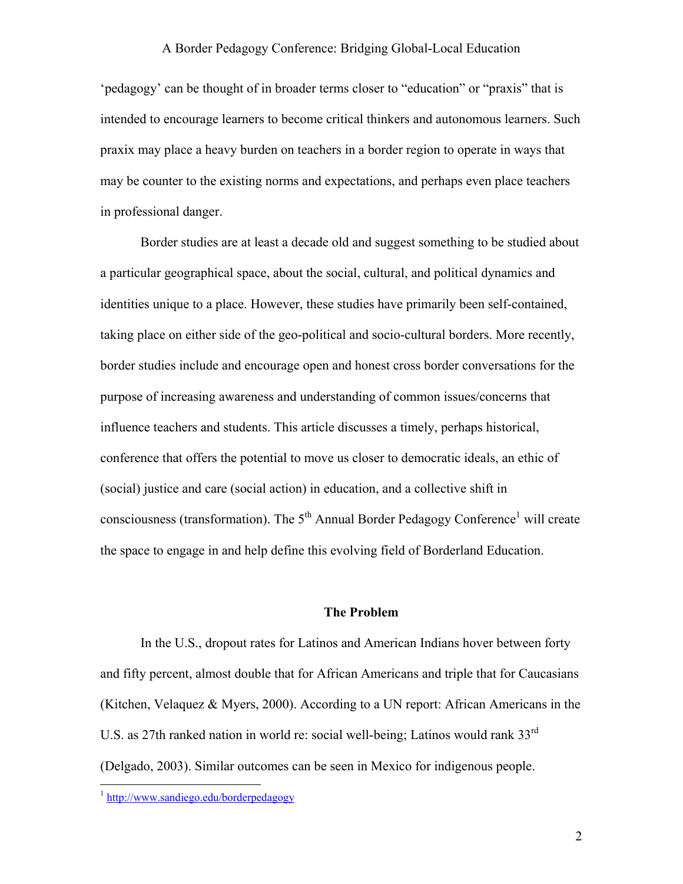'pedagogy' can be thought of in broader terms closer to "education" or "praxis" that is intended to encourage learners to become critical thinkers and autonomous learners. Such praxix may place a heavy burden on teachers in a border region to operate in ways that may be counter to the existing norms and expectations, and perhaps even place teachers in professional danger.

Border studies are at least a decade old and suggest something to be studied about a particular geographical space, about the social, cultural, and political dynamics and identities unique to a place. However, these studies have primarily been self-contained, taking place on either side of the geo-political and socio-cultural borders. More recently, border studies include and encourage open and honest cross border conversations for the purpose of increasing awareness and understanding of common issues/concerns that influence teachers and students. This article discusses a timely, perhaps historical, conference that offers the potential to move us closer to democratic ideals, an ethic of (social) justice and care (social action) in education, and a collective shift in consciousness (transformation). The  $5<sup>th</sup>$  Annual Border Pedagogy Conference<sup>1</sup> will create the space to engage in and help define this evolving field of Borderland Education.

#### **The Problem**

In the U.S., dropout rates for Latinos and American Indians hover between forty and fifty percent, almost double that for African Americans and triple that for Caucasians (Kitchen, Velaquez & Myers, 2000). According to a UN report: African Americans in the U.S. as 27th ranked nation in world re: social well-being; Latinos would rank 33<sup>rd</sup> (Delgado, 2003). Similar outcomes can be seen in Mexico for indigenous people.

<u>.</u>

<sup>&</sup>lt;sup>1</sup> http://www.sandiego.edu/borderpedagogy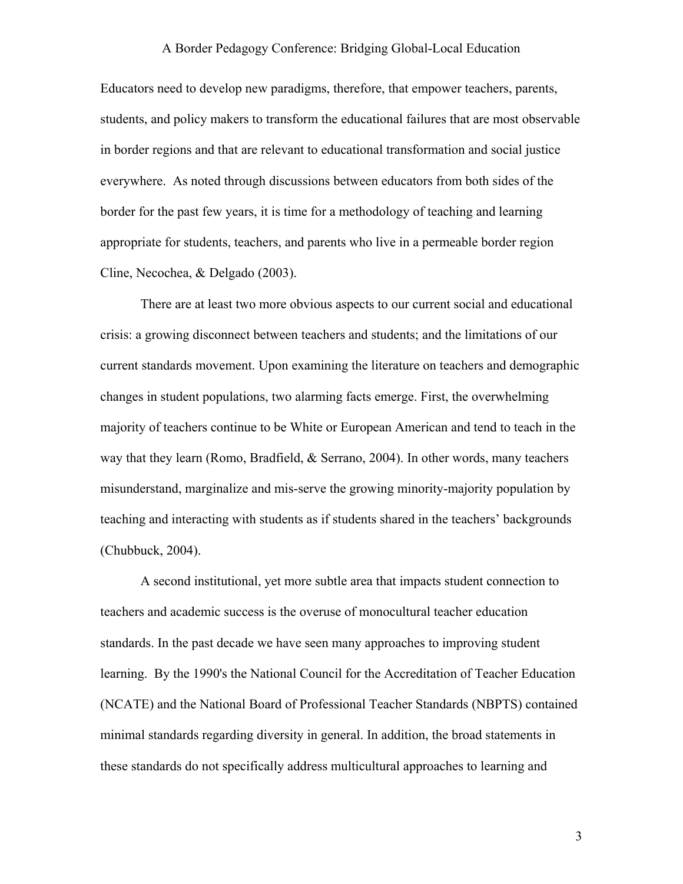Educators need to develop new paradigms, therefore, that empower teachers, parents, students, and policy makers to transform the educational failures that are most observable in border regions and that are relevant to educational transformation and social justice everywhere. As noted through discussions between educators from both sides of the border for the past few years, it is time for a methodology of teaching and learning appropriate for students, teachers, and parents who live in a permeable border region Cline, Necochea, & Delgado (2003).

There are at least two more obvious aspects to our current social and educational crisis: a growing disconnect between teachers and students; and the limitations of our current standards movement. Upon examining the literature on teachers and demographic changes in student populations, two alarming facts emerge. First, the overwhelming majority of teachers continue to be White or European American and tend to teach in the way that they learn (Romo, Bradfield, & Serrano, 2004). In other words, many teachers misunderstand, marginalize and mis-serve the growing minority-majority population by teaching and interacting with students as if students shared in the teachers' backgrounds (Chubbuck, 2004).

 A second institutional, yet more subtle area that impacts student connection to teachers and academic success is the overuse of monocultural teacher education standards. In the past decade we have seen many approaches to improving student learning. By the 1990's the National Council for the Accreditation of Teacher Education (NCATE) and the National Board of Professional Teacher Standards (NBPTS) contained minimal standards regarding diversity in general. In addition, the broad statements in these standards do not specifically address multicultural approaches to learning and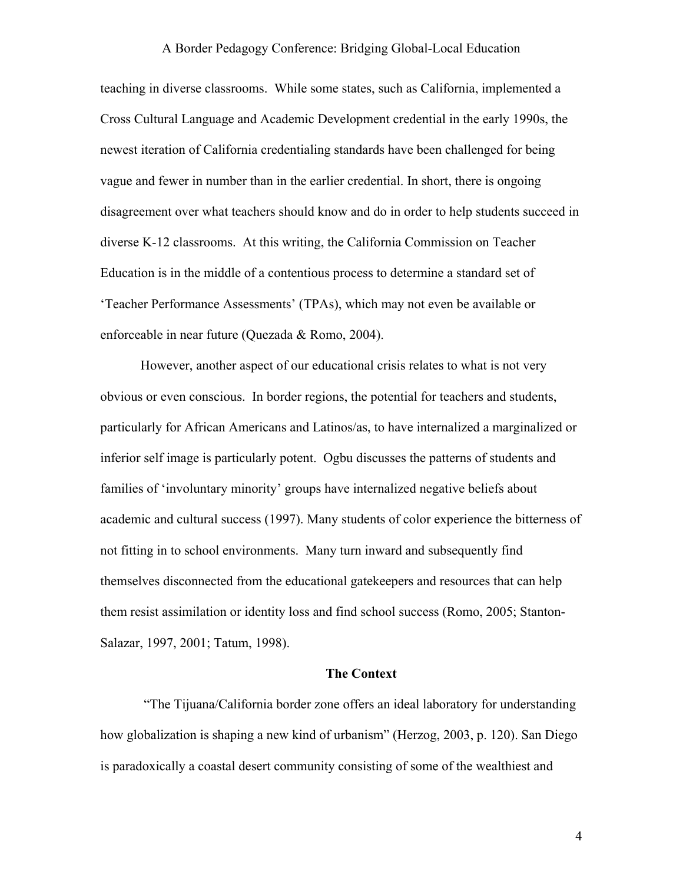teaching in diverse classrooms. While some states, such as California, implemented a Cross Cultural Language and Academic Development credential in the early 1990s, the newest iteration of California credentialing standards have been challenged for being vague and fewer in number than in the earlier credential. In short, there is ongoing disagreement over what teachers should know and do in order to help students succeed in diverse K-12 classrooms. At this writing, the California Commission on Teacher Education is in the middle of a contentious process to determine a standard set of 'Teacher Performance Assessments' (TPAs), which may not even be available or enforceable in near future (Quezada & Romo, 2004).

 However, another aspect of our educational crisis relates to what is not very obvious or even conscious. In border regions, the potential for teachers and students, particularly for African Americans and Latinos/as, to have internalized a marginalized or inferior self image is particularly potent. Ogbu discusses the patterns of students and families of 'involuntary minority' groups have internalized negative beliefs about academic and cultural success (1997). Many students of color experience the bitterness of not fitting in to school environments. Many turn inward and subsequently find themselves disconnected from the educational gatekeepers and resources that can help them resist assimilation or identity loss and find school success (Romo, 2005; Stanton-Salazar, 1997, 2001; Tatum, 1998).

#### **The Context**

 "The Tijuana/California border zone offers an ideal laboratory for understanding how globalization is shaping a new kind of urbanism" (Herzog, 2003, p. 120). San Diego is paradoxically a coastal desert community consisting of some of the wealthiest and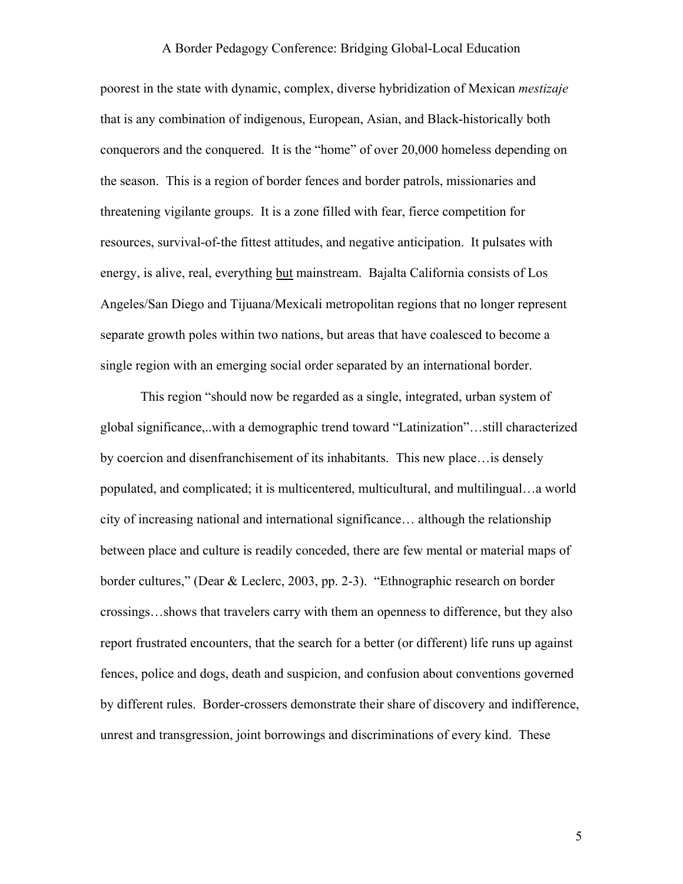poorest in the state with dynamic, complex, diverse hybridization of Mexican *mestizaje* that is any combination of indigenous, European, Asian, and Black-historically both conquerors and the conquered. It is the "home" of over 20,000 homeless depending on the season. This is a region of border fences and border patrols, missionaries and threatening vigilante groups. It is a zone filled with fear, fierce competition for resources, survival-of-the fittest attitudes, and negative anticipation. It pulsates with energy, is alive, real, everything but mainstream. Bajalta California consists of Los Angeles/San Diego and Tijuana/Mexicali metropolitan regions that no longer represent separate growth poles within two nations, but areas that have coalesced to become a single region with an emerging social order separated by an international border.

This region "should now be regarded as a single, integrated, urban system of global significance,..with a demographic trend toward "Latinization"…still characterized by coercion and disenfranchisement of its inhabitants. This new place…is densely populated, and complicated; it is multicentered, multicultural, and multilingual…a world city of increasing national and international significance… although the relationship between place and culture is readily conceded, there are few mental or material maps of border cultures," (Dear & Leclerc, 2003, pp. 2-3). "Ethnographic research on border crossings…shows that travelers carry with them an openness to difference, but they also report frustrated encounters, that the search for a better (or different) life runs up against fences, police and dogs, death and suspicion, and confusion about conventions governed by different rules. Border-crossers demonstrate their share of discovery and indifference, unrest and transgression, joint borrowings and discriminations of every kind. These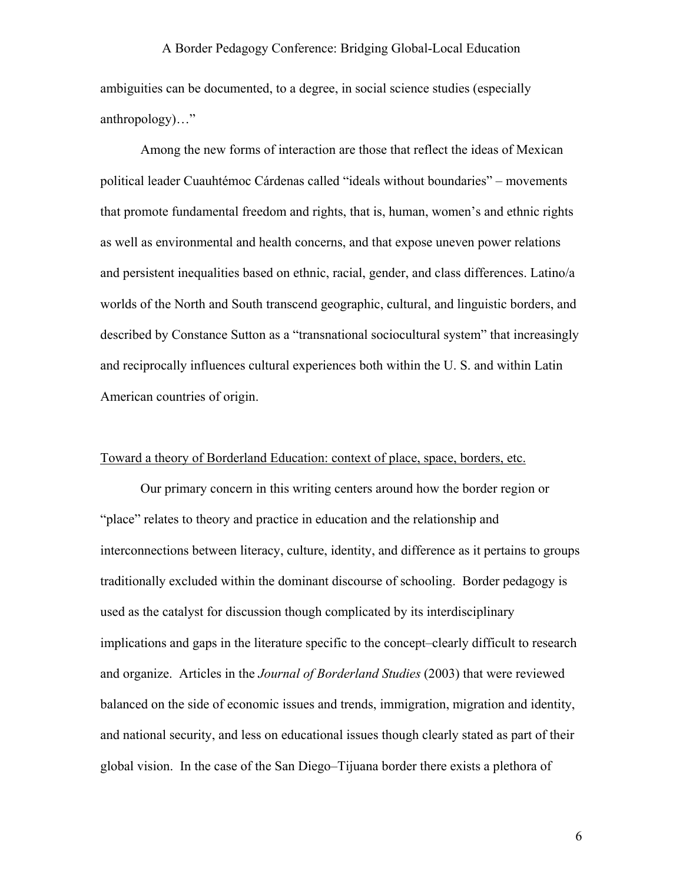ambiguities can be documented, to a degree, in social science studies (especially anthropology)…"

Among the new forms of interaction are those that reflect the ideas of Mexican political leader Cuauhtémoc Cárdenas called "ideals without boundaries" – movements that promote fundamental freedom and rights, that is, human, women's and ethnic rights as well as environmental and health concerns, and that expose uneven power relations and persistent inequalities based on ethnic, racial, gender, and class differences. Latino/a worlds of the North and South transcend geographic, cultural, and linguistic borders, and described by Constance Sutton as a "transnational sociocultural system" that increasingly and reciprocally influences cultural experiences both within the U. S. and within Latin American countries of origin.

#### Toward a theory of Borderland Education: context of place, space, borders, etc.

 Our primary concern in this writing centers around how the border region or "place" relates to theory and practice in education and the relationship and interconnections between literacy, culture, identity, and difference as it pertains to groups traditionally excluded within the dominant discourse of schooling. Border pedagogy is used as the catalyst for discussion though complicated by its interdisciplinary implications and gaps in the literature specific to the concept–clearly difficult to research and organize. Articles in the *Journal of Borderland Studies* (2003) that were reviewed balanced on the side of economic issues and trends, immigration, migration and identity, and national security, and less on educational issues though clearly stated as part of their global vision. In the case of the San Diego–Tijuana border there exists a plethora of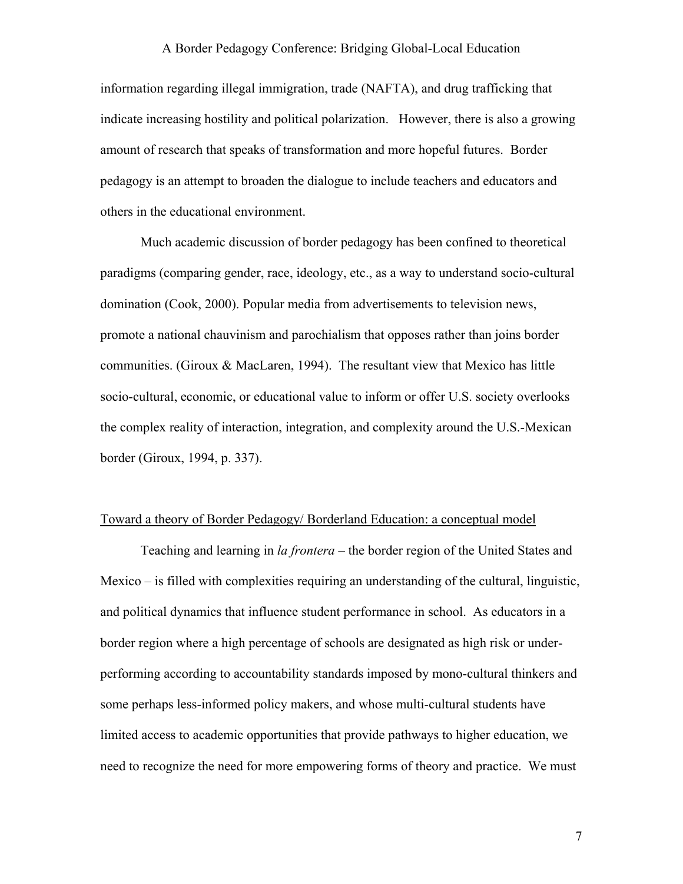information regarding illegal immigration, trade (NAFTA), and drug trafficking that indicate increasing hostility and political polarization. However, there is also a growing amount of research that speaks of transformation and more hopeful futures. Border pedagogy is an attempt to broaden the dialogue to include teachers and educators and others in the educational environment.

Much academic discussion of border pedagogy has been confined to theoretical paradigms (comparing gender, race, ideology, etc., as a way to understand socio-cultural domination (Cook, 2000). Popular media from advertisements to television news, promote a national chauvinism and parochialism that opposes rather than joins border communities. (Giroux & MacLaren, 1994). The resultant view that Mexico has little socio-cultural, economic, or educational value to inform or offer U.S. society overlooks the complex reality of interaction, integration, and complexity around the U.S.-Mexican border (Giroux, 1994, p. 337).

#### Toward a theory of Border Pedagogy/ Borderland Education: a conceptual model

Teaching and learning in *la frontera* – the border region of the United States and Mexico – is filled with complexities requiring an understanding of the cultural, linguistic, and political dynamics that influence student performance in school. As educators in a border region where a high percentage of schools are designated as high risk or underperforming according to accountability standards imposed by mono-cultural thinkers and some perhaps less-informed policy makers, and whose multi-cultural students have limited access to academic opportunities that provide pathways to higher education, we need to recognize the need for more empowering forms of theory and practice. We must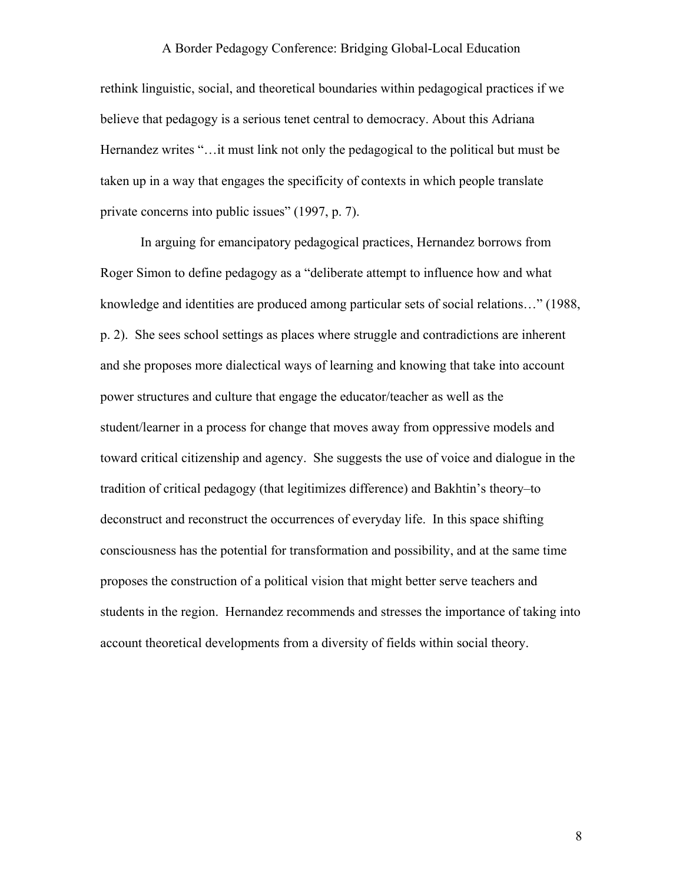rethink linguistic, social, and theoretical boundaries within pedagogical practices if we believe that pedagogy is a serious tenet central to democracy. About this Adriana Hernandez writes "…it must link not only the pedagogical to the political but must be taken up in a way that engages the specificity of contexts in which people translate private concerns into public issues" (1997, p. 7).

In arguing for emancipatory pedagogical practices, Hernandez borrows from Roger Simon to define pedagogy as a "deliberate attempt to influence how and what knowledge and identities are produced among particular sets of social relations…" (1988, p. 2). She sees school settings as places where struggle and contradictions are inherent and she proposes more dialectical ways of learning and knowing that take into account power structures and culture that engage the educator/teacher as well as the student/learner in a process for change that moves away from oppressive models and toward critical citizenship and agency. She suggests the use of voice and dialogue in the tradition of critical pedagogy (that legitimizes difference) and Bakhtin's theory–to deconstruct and reconstruct the occurrences of everyday life. In this space shifting consciousness has the potential for transformation and possibility, and at the same time proposes the construction of a political vision that might better serve teachers and students in the region. Hernandez recommends and stresses the importance of taking into account theoretical developments from a diversity of fields within social theory.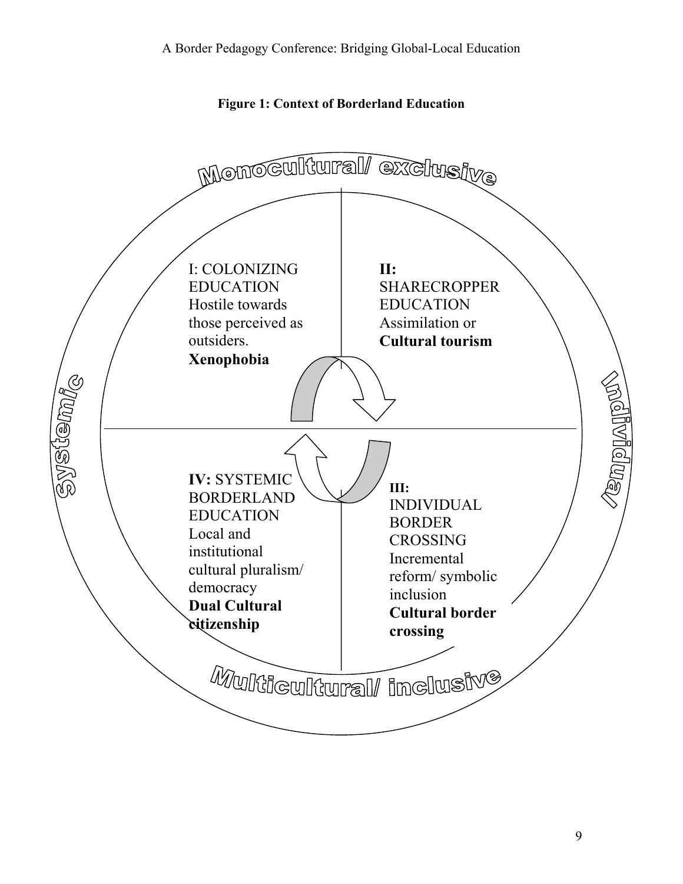

**Figure 1: Context of Borderland Education**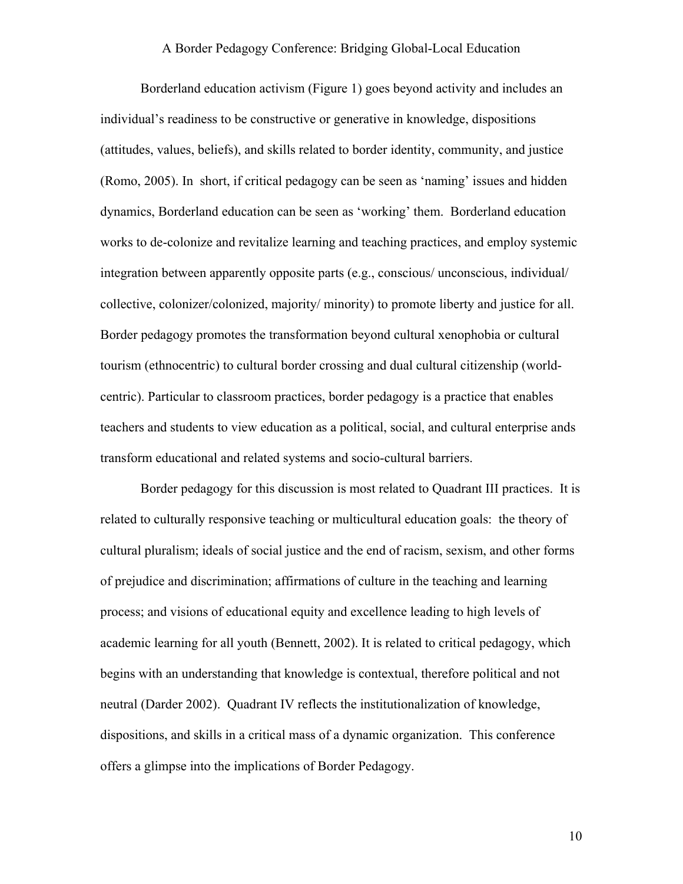Borderland education activism (Figure 1) goes beyond activity and includes an individual's readiness to be constructive or generative in knowledge, dispositions (attitudes, values, beliefs), and skills related to border identity, community, and justice (Romo, 2005). In short, if critical pedagogy can be seen as 'naming' issues and hidden dynamics, Borderland education can be seen as 'working' them. Borderland education works to de-colonize and revitalize learning and teaching practices, and employ systemic integration between apparently opposite parts (e.g., conscious/ unconscious, individual/ collective, colonizer/colonized, majority/ minority) to promote liberty and justice for all. Border pedagogy promotes the transformation beyond cultural xenophobia or cultural tourism (ethnocentric) to cultural border crossing and dual cultural citizenship (worldcentric). Particular to classroom practices, border pedagogy is a practice that enables teachers and students to view education as a political, social, and cultural enterprise ands transform educational and related systems and socio-cultural barriers.

Border pedagogy for this discussion is most related to Quadrant III practices. It is related to culturally responsive teaching or multicultural education goals: the theory of cultural pluralism; ideals of social justice and the end of racism, sexism, and other forms of prejudice and discrimination; affirmations of culture in the teaching and learning process; and visions of educational equity and excellence leading to high levels of academic learning for all youth (Bennett, 2002). It is related to critical pedagogy, which begins with an understanding that knowledge is contextual, therefore political and not neutral (Darder 2002). Quadrant IV reflects the institutionalization of knowledge, dispositions, and skills in a critical mass of a dynamic organization. This conference offers a glimpse into the implications of Border Pedagogy.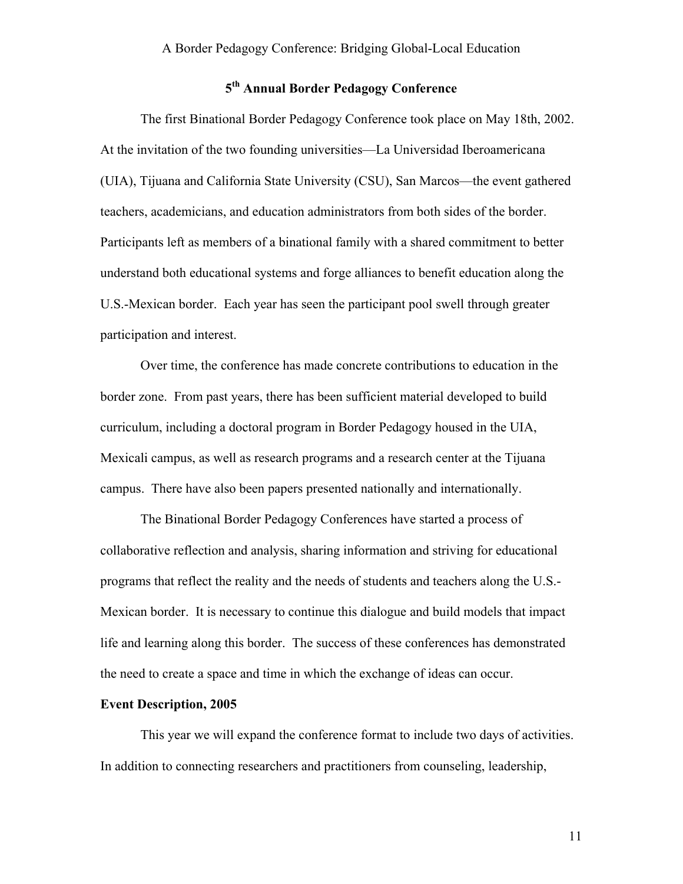# **5th Annual Border Pedagogy Conference**

The first Binational Border Pedagogy Conference took place on May 18th, 2002. At the invitation of the two founding universities—La Universidad Iberoamericana (UIA), Tijuana and California State University (CSU), San Marcos—the event gathered teachers, academicians, and education administrators from both sides of the border. Participants left as members of a binational family with a shared commitment to better understand both educational systems and forge alliances to benefit education along the U.S.-Mexican border. Each year has seen the participant pool swell through greater participation and interest.

Over time, the conference has made concrete contributions to education in the border zone. From past years, there has been sufficient material developed to build curriculum, including a doctoral program in Border Pedagogy housed in the UIA, Mexicali campus, as well as research programs and a research center at the Tijuana campus. There have also been papers presented nationally and internationally.

The Binational Border Pedagogy Conferences have started a process of collaborative reflection and analysis, sharing information and striving for educational programs that reflect the reality and the needs of students and teachers along the U.S.- Mexican border. It is necessary to continue this dialogue and build models that impact life and learning along this border. The success of these conferences has demonstrated the need to create a space and time in which the exchange of ideas can occur.

#### **Event Description, 2005**

This year we will expand the conference format to include two days of activities. In addition to connecting researchers and practitioners from counseling, leadership,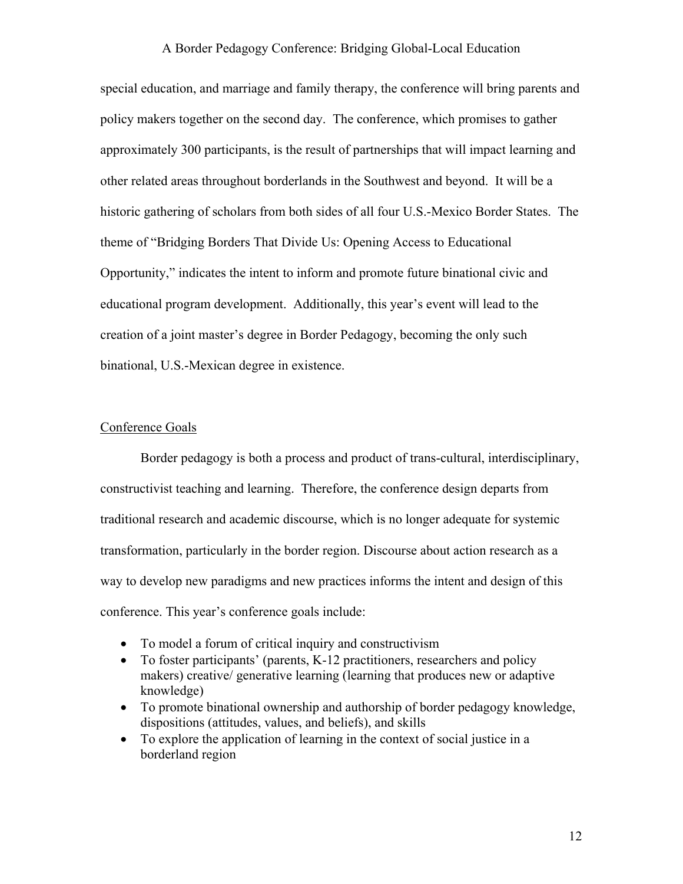special education, and marriage and family therapy, the conference will bring parents and policy makers together on the second day. The conference, which promises to gather approximately 300 participants, is the result of partnerships that will impact learning and other related areas throughout borderlands in the Southwest and beyond. It will be a historic gathering of scholars from both sides of all four U.S.-Mexico Border States. The theme of "Bridging Borders That Divide Us: Opening Access to Educational Opportunity," indicates the intent to inform and promote future binational civic and educational program development. Additionally, this year's event will lead to the creation of a joint master's degree in Border Pedagogy, becoming the only such binational, U.S.-Mexican degree in existence.

#### Conference Goals

Border pedagogy is both a process and product of trans-cultural, interdisciplinary, constructivist teaching and learning. Therefore, the conference design departs from traditional research and academic discourse, which is no longer adequate for systemic transformation, particularly in the border region. Discourse about action research as a way to develop new paradigms and new practices informs the intent and design of this conference. This year's conference goals include:

- To model a forum of critical inquiry and constructivism
- To foster participants' (parents, K-12 practitioners, researchers and policy makers) creative/ generative learning (learning that produces new or adaptive knowledge)
- To promote binational ownership and authorship of border pedagogy knowledge, dispositions (attitudes, values, and beliefs), and skills
- To explore the application of learning in the context of social justice in a borderland region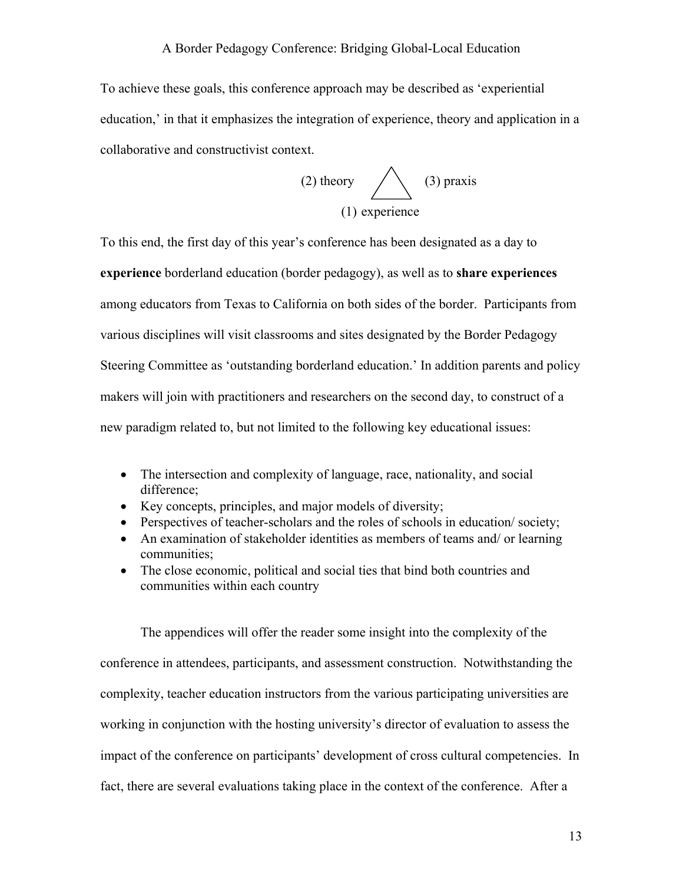To achieve these goals, this conference approach may be described as 'experiential education,' in that it emphasizes the integration of experience, theory and application in a collaborative and constructivist context.

(2) theory 
$$
(3) \text{ praxis}
$$

$$
(1) \text{ experience}
$$

To this end, the first day of this year's conference has been designated as a day to **experience** borderland education (border pedagogy), as well as to **share experiences** among educators from Texas to California on both sides of the border. Participants from various disciplines will visit classrooms and sites designated by the Border Pedagogy Steering Committee as 'outstanding borderland education.' In addition parents and policy makers will join with practitioners and researchers on the second day, to construct of a new paradigm related to, but not limited to the following key educational issues:

- The intersection and complexity of language, race, nationality, and social difference;
- Key concepts, principles, and major models of diversity;
- Perspectives of teacher-scholars and the roles of schools in education/society;
- An examination of stakeholder identities as members of teams and/ or learning communities;
- The close economic, political and social ties that bind both countries and communities within each country

The appendices will offer the reader some insight into the complexity of the conference in attendees, participants, and assessment construction. Notwithstanding the complexity, teacher education instructors from the various participating universities are working in conjunction with the hosting university's director of evaluation to assess the impact of the conference on participants' development of cross cultural competencies. In fact, there are several evaluations taking place in the context of the conference. After a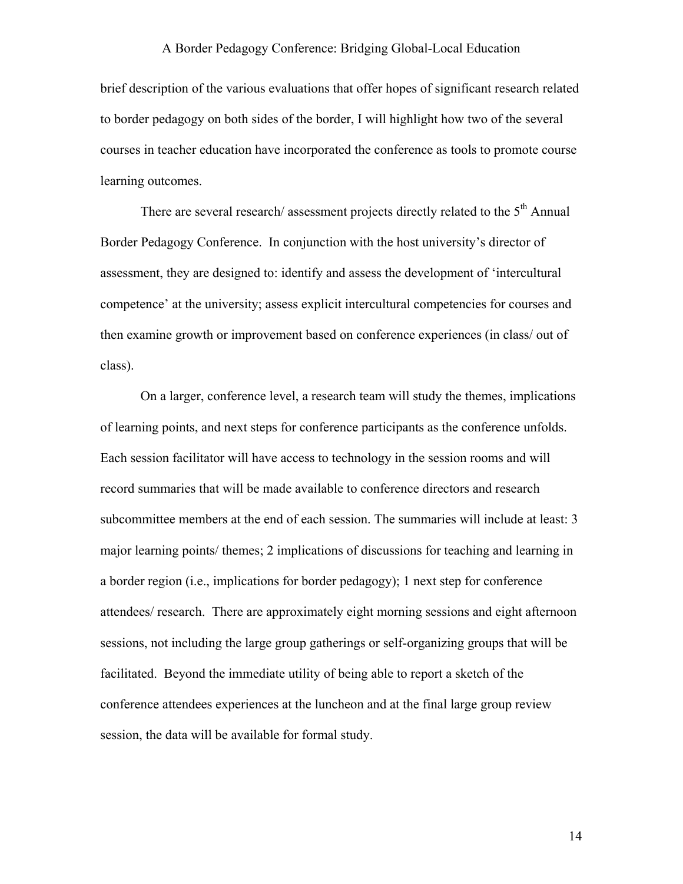brief description of the various evaluations that offer hopes of significant research related to border pedagogy on both sides of the border, I will highlight how two of the several courses in teacher education have incorporated the conference as tools to promote course learning outcomes.

There are several research/ assessment projects directly related to the  $5<sup>th</sup>$  Annual Border Pedagogy Conference. In conjunction with the host university's director of assessment, they are designed to: identify and assess the development of 'intercultural competence' at the university; assess explicit intercultural competencies for courses and then examine growth or improvement based on conference experiences (in class/ out of class).

 On a larger, conference level, a research team will study the themes, implications of learning points, and next steps for conference participants as the conference unfolds. Each session facilitator will have access to technology in the session rooms and will record summaries that will be made available to conference directors and research subcommittee members at the end of each session. The summaries will include at least: 3 major learning points/ themes; 2 implications of discussions for teaching and learning in a border region (i.e., implications for border pedagogy); 1 next step for conference attendees/ research. There are approximately eight morning sessions and eight afternoon sessions, not including the large group gatherings or self-organizing groups that will be facilitated. Beyond the immediate utility of being able to report a sketch of the conference attendees experiences at the luncheon and at the final large group review session, the data will be available for formal study.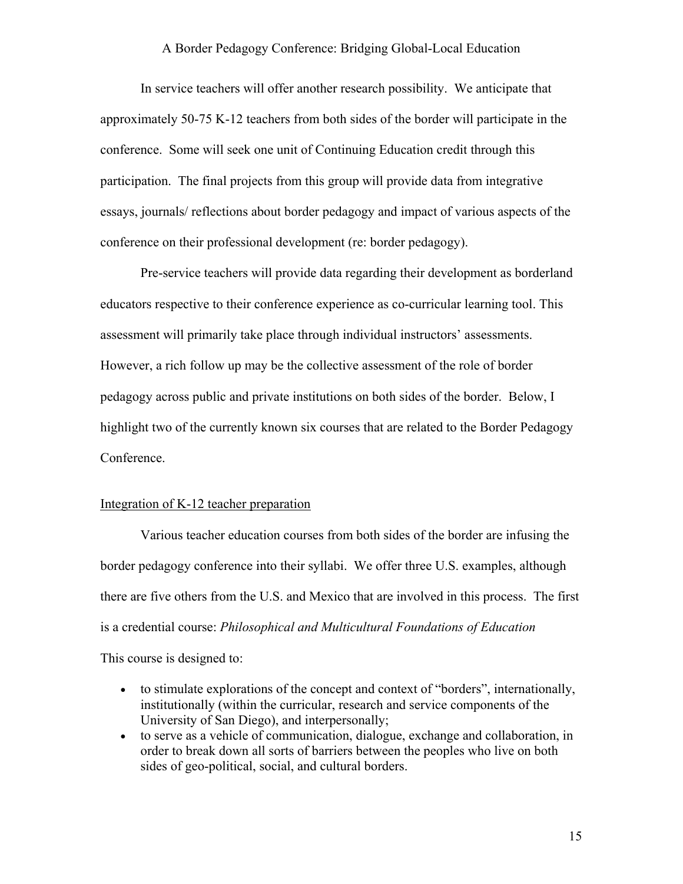In service teachers will offer another research possibility. We anticipate that approximately 50-75 K-12 teachers from both sides of the border will participate in the conference. Some will seek one unit of Continuing Education credit through this participation. The final projects from this group will provide data from integrative essays, journals/ reflections about border pedagogy and impact of various aspects of the conference on their professional development (re: border pedagogy).

 Pre-service teachers will provide data regarding their development as borderland educators respective to their conference experience as co-curricular learning tool. This assessment will primarily take place through individual instructors' assessments. However, a rich follow up may be the collective assessment of the role of border pedagogy across public and private institutions on both sides of the border. Below, I highlight two of the currently known six courses that are related to the Border Pedagogy Conference.

# Integration of K-12 teacher preparation

 Various teacher education courses from both sides of the border are infusing the border pedagogy conference into their syllabi. We offer three U.S. examples, although there are five others from the U.S. and Mexico that are involved in this process. The first is a credential course: *Philosophical and Multicultural Foundations of Education*

This course is designed to:

- to stimulate explorations of the concept and context of "borders", internationally, institutionally (within the curricular, research and service components of the University of San Diego), and interpersonally;
- to serve as a vehicle of communication, dialogue, exchange and collaboration, in order to break down all sorts of barriers between the peoples who live on both sides of geo-political, social, and cultural borders.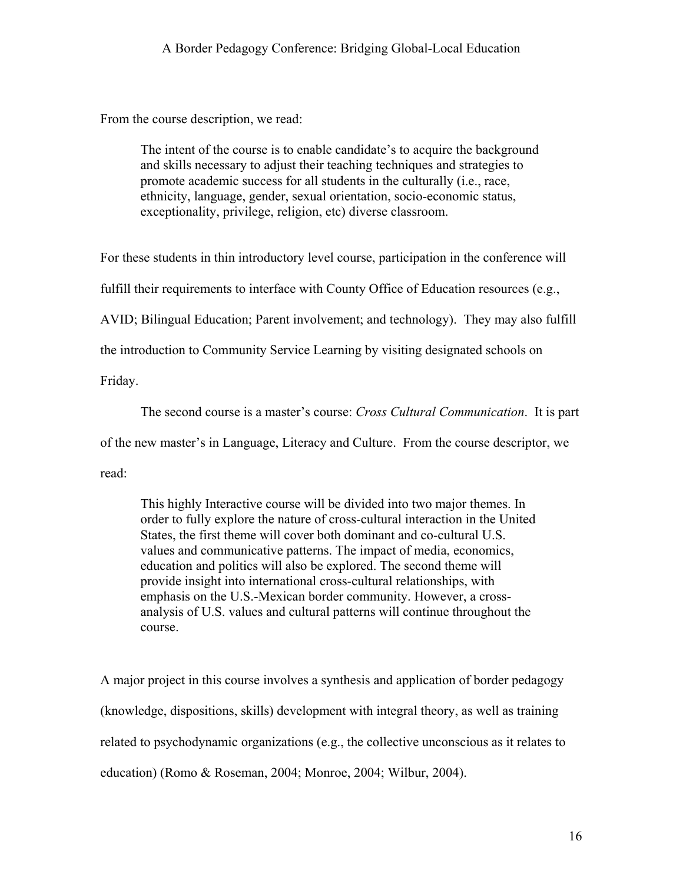From the course description, we read:

The intent of the course is to enable candidate's to acquire the background and skills necessary to adjust their teaching techniques and strategies to promote academic success for all students in the culturally (i.e., race, ethnicity, language, gender, sexual orientation, socio-economic status, exceptionality, privilege, religion, etc) diverse classroom.

For these students in thin introductory level course, participation in the conference will

fulfill their requirements to interface with County Office of Education resources (e.g.,

AVID; Bilingual Education; Parent involvement; and technology). They may also fulfill

the introduction to Community Service Learning by visiting designated schools on

Friday.

The second course is a master's course: *Cross Cultural Communication*. It is part

of the new master's in Language, Literacy and Culture. From the course descriptor, we

read:

This highly Interactive course will be divided into two major themes. In order to fully explore the nature of cross-cultural interaction in the United States, the first theme will cover both dominant and co-cultural U.S. values and communicative patterns. The impact of media, economics, education and politics will also be explored. The second theme will provide insight into international cross-cultural relationships, with emphasis on the U.S.-Mexican border community. However, a crossanalysis of U.S. values and cultural patterns will continue throughout the course.

A major project in this course involves a synthesis and application of border pedagogy (knowledge, dispositions, skills) development with integral theory, as well as training related to psychodynamic organizations (e.g., the collective unconscious as it relates to education) (Romo & Roseman, 2004; Monroe, 2004; Wilbur, 2004).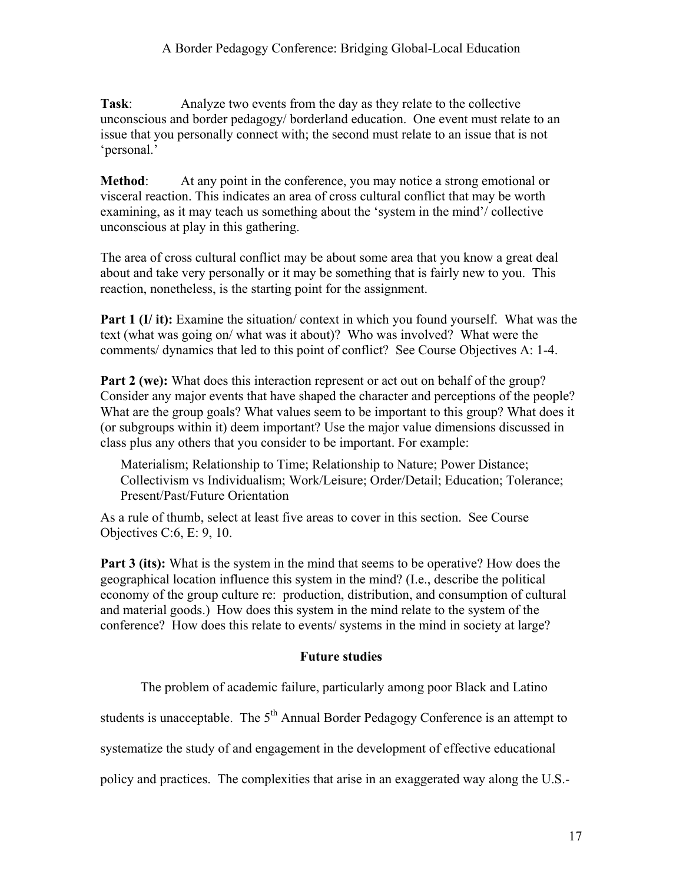**Task**: Analyze two events from the day as they relate to the collective unconscious and border pedagogy/ borderland education. One event must relate to an issue that you personally connect with; the second must relate to an issue that is not 'personal.'

**Method**: At any point in the conference, you may notice a strong emotional or visceral reaction. This indicates an area of cross cultural conflict that may be worth examining, as it may teach us something about the 'system in the mind'/ collective unconscious at play in this gathering.

The area of cross cultural conflict may be about some area that you know a great deal about and take very personally or it may be something that is fairly new to you. This reaction, nonetheless, is the starting point for the assignment.

**Part 1 (I/ it):** Examine the situation/ context in which you found yourself. What was the text (what was going on/ what was it about)? Who was involved? What were the comments/ dynamics that led to this point of conflict? See Course Objectives A: 1-4.

**Part 2 (we):** What does this interaction represent or act out on behalf of the group? Consider any major events that have shaped the character and perceptions of the people? What are the group goals? What values seem to be important to this group? What does it (or subgroups within it) deem important? Use the major value dimensions discussed in class plus any others that you consider to be important. For example:

Materialism; Relationship to Time; Relationship to Nature; Power Distance; Collectivism vs Individualism; Work/Leisure; Order/Detail; Education; Tolerance; Present/Past/Future Orientation

As a rule of thumb, select at least five areas to cover in this section. See Course Objectives C:6, E: 9, 10.

**Part 3 (its):** What is the system in the mind that seems to be operative? How does the geographical location influence this system in the mind? (I.e., describe the political economy of the group culture re: production, distribution, and consumption of cultural and material goods.) How does this system in the mind relate to the system of the conference? How does this relate to events/ systems in the mind in society at large?

# **Future studies**

The problem of academic failure, particularly among poor Black and Latino

students is unacceptable. The  $5<sup>th</sup>$  Annual Border Pedagogy Conference is an attempt to

systematize the study of and engagement in the development of effective educational

policy and practices. The complexities that arise in an exaggerated way along the U.S.-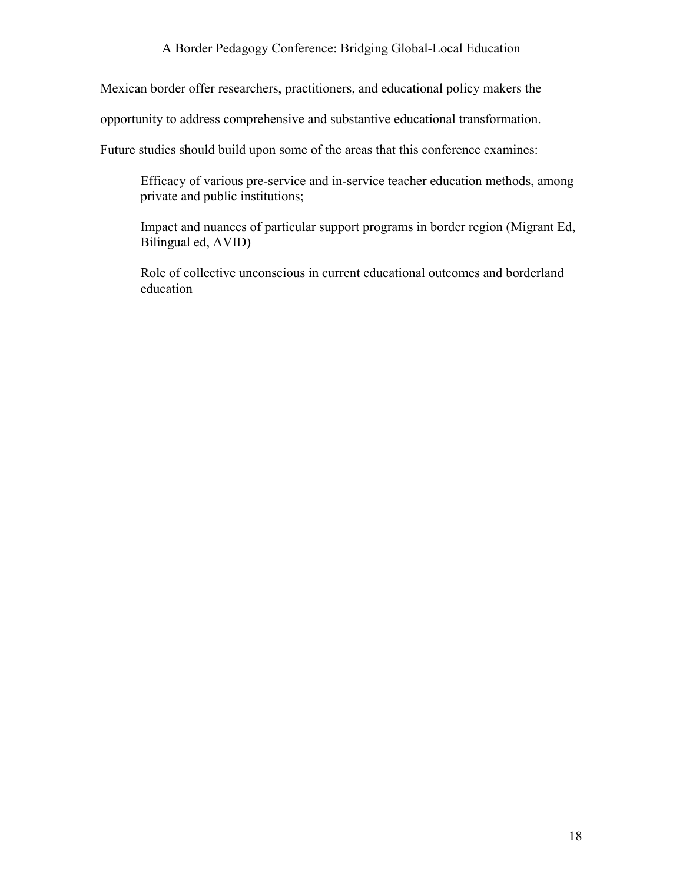Mexican border offer researchers, practitioners, and educational policy makers the

opportunity to address comprehensive and substantive educational transformation.

Future studies should build upon some of the areas that this conference examines:

Efficacy of various pre-service and in-service teacher education methods, among private and public institutions;

Impact and nuances of particular support programs in border region (Migrant Ed, Bilingual ed, AVID)

Role of collective unconscious in current educational outcomes and borderland education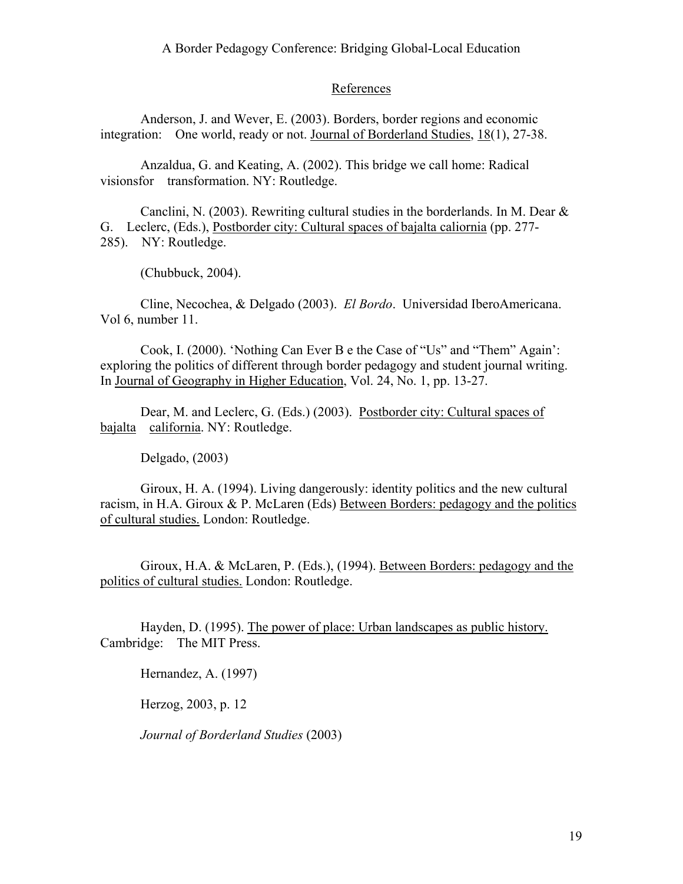# **References**

Anderson, J. and Wever, E. (2003). Borders, border regions and economic integration: One world, ready or not. <u>Journal of Borderland Studies, 18</u>(1), 27-38.

Anzaldua, G. and Keating, A. (2002). This bridge we call home: Radical visionsfor transformation. NY: Routledge.

Canclini, N. (2003). Rewriting cultural studies in the borderlands. In M. Dear & G. Leclerc, (Eds.), Postborder city: Cultural spaces of bajalta caliornia (pp. 277- 285). NY: Routledge.

(Chubbuck, 2004).

Cline, Necochea, & Delgado (2003). *El Bordo*. Universidad IberoAmericana. Vol 6, number 11.

Cook, I. (2000). 'Nothing Can Ever B e the Case of "Us" and "Them" Again': exploring the politics of different through border pedagogy and student journal writing. In Journal of Geography in Higher Education, Vol. 24, No. 1, pp. 13-27.

Dear, M. and Leclerc, G. (Eds.) (2003). Postborder city: Cultural spaces of bajalta california. NY: Routledge.

Delgado, (2003)

 Giroux, H. A. (1994). Living dangerously: identity politics and the new cultural racism, in H.A. Giroux & P. McLaren (Eds) Between Borders: pedagogy and the politics of cultural studies. London: Routledge.

Giroux, H.A. & McLaren, P. (Eds.), (1994). Between Borders: pedagogy and the politics of cultural studies. London: Routledge.

Hayden, D. (1995). The power of place: Urban landscapes as public history. Cambridge: The MIT Press.

Hernandez, A. (1997)

Herzog, 2003, p. 12

*Journal of Borderland Studies* (2003)